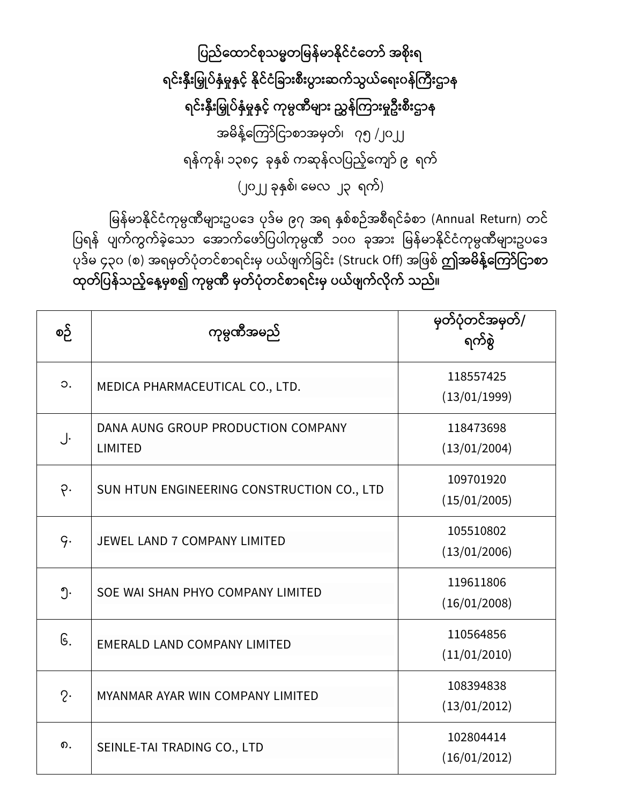ပြည်ထောင်စုသမ္မတမြန်မာနိုင်ငံတော် အစိုးရ ရင်းနှီးမြှုပ်နှံမှုနှင့် နိုင်ငံခြားစီးပွားဆက်သွယ်ရေးဝန်ကြီးဌာန ရင်းနိုးမြှုပ်နှံမှုနှင့် ကုမ္ပဏီများ ညွှန်ကြားမှုဦးစီးဌာန အမိန့်ကြော်ငြာစာအမှတ်၊ ၇၅ /၂၀၂၂ ရန်ကုန်၊ ၁၃၈၄ ခုနှစ် ကဆုန်လပြည့်ကျော် ၉ ရက် (၂၀၂၂ ခုနှစ်၊ မေလ ၂၃ ရက်)

မြန်မာနိုင်ငံကုမ္ပဏီများဥပဒေ ပုဒ်မ ၉၇ အရ နှစ်စဉ်အစီရင်ခံစာ (Annual Return) တင် ပြရန် ပျက်ကွက်ခဲ့သော အောက်ဖော်ပြပါကုမ္ပဏီ ၁၀၀ ခုအား မြန်မာနိုင်ငံကုမ္ပဏီများဥပဒေ ြော်မ ၄၃၀ (စ) အရမှတ်ပုံတင်စာရင်းမှ ပယ်ဖျက်ခြင်း (Struck Off) အဖြစ် **ဤအမိန့်ကြော်ငြာစာ ုတ်ပြန်သည့််ထန့်မ္ှစ၍ ကုမ္ပဏ မ္ှတ်ြံုတင်စောရင်ိုးမ္ှ ြယ်ဖ က်လ ုက် သည်။**

| စဉ်            | ကုမ္ပဏီအမည်                                          | မှတ်ပုံတင်အမှတ်/<br>ရက်စွဲ |
|----------------|------------------------------------------------------|----------------------------|
| $\circ$ .      | MEDICA PHARMACEUTICAL CO., LTD.                      | 118557425<br>(13/01/1999)  |
| J.             | DANA AUNG GROUP PRODUCTION COMPANY<br><b>LIMITED</b> | 118473698<br>(13/01/2004)  |
| $\varphi$ .    | SUN HTUN ENGINEERING CONSTRUCTION CO., LTD           | 109701920<br>(15/01/2005)  |
| q.             | <b>JEWEL LAND 7 COMPANY LIMITED</b>                  | 105510802<br>(13/01/2006)  |
| ၅.             | SOE WAI SHAN PHYO COMPANY LIMITED                    | 119611806<br>(16/01/2008)  |
| G.             | <b>EMERALD LAND COMPANY LIMITED</b>                  | 110564856<br>(11/01/2010)  |
| $2\cdot$       | MYANMAR AYAR WIN COMPANY LIMITED                     | 108394838<br>(13/01/2012)  |
| $\mathbf{D}$ . | SEINLE-TAI TRADING CO., LTD                          | 102804414<br>(16/01/2012)  |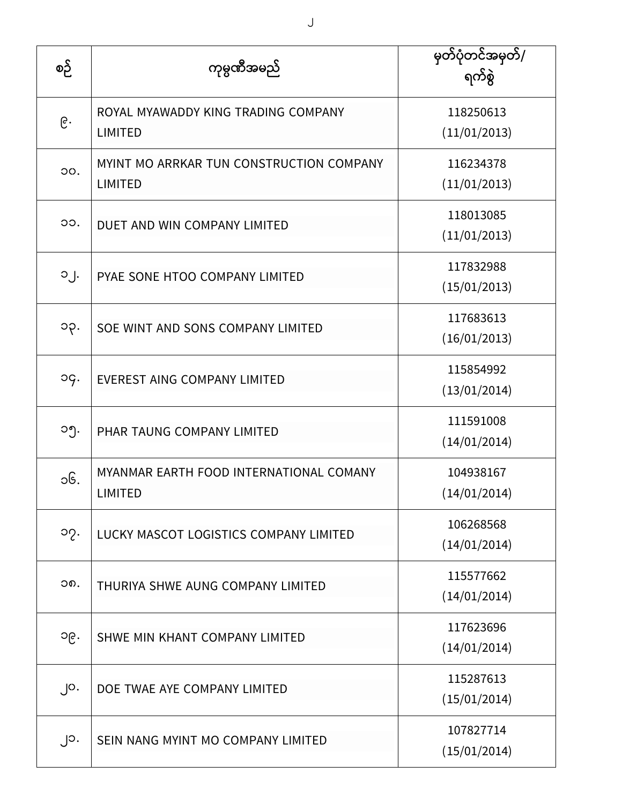| စဉ်       | ကုမ္ပဏီအမည်                                                | မှတ်ပုံတင်အမှတ်/<br>ရက်စွဲ |
|-----------|------------------------------------------------------------|----------------------------|
| ၉.        | ROYAL MYAWADDY KING TRADING COMPANY<br><b>LIMITED</b>      | 118250613<br>(11/01/2013)  |
| OO.       | MYINT MO ARRKAR TUN CONSTRUCTION COMPANY<br><b>LIMITED</b> | 116234378<br>(11/01/2013)  |
| OO.       | DUET AND WIN COMPANY LIMITED                               | 118013085<br>(11/01/2013)  |
| $O_1$ .   | PYAE SONE HTOO COMPANY LIMITED                             | 117832988<br>(15/01/2013)  |
| ၁၃.       | SOE WINT AND SONS COMPANY LIMITED                          | 117683613<br>(16/01/2013)  |
| og.       | <b>EVEREST AING COMPANY LIMITED</b>                        | 115854992<br>(13/01/2014)  |
| ၁၅.       | PHAR TAUNG COMPANY LIMITED                                 | 111591008<br>(14/01/2014)  |
| ၁၆.       | MYANMAR EARTH FOOD INTERNATIONAL COMANY<br><b>LIMITED</b>  | 104938167<br>(14/01/2014)  |
| ၁၇.       | LUCKY MASCOT LOGISTICS COMPANY LIMITED                     | 106268568<br>(14/01/2014)  |
| ၁၈.       | THURIYA SHWE AUNG COMPANY LIMITED                          | 115577662<br>(14/01/2014)  |
| ၁၉.       | SHWE MIN KHANT COMPANY LIMITED                             | 117623696<br>(14/01/2014)  |
| $\int$ O. | DOE TWAE AYE COMPANY LIMITED                               | 115287613<br>(15/01/2014)  |
| $\bigcup$ | SEIN NANG MYINT MO COMPANY LIMITED                         | 107827714<br>(15/01/2014)  |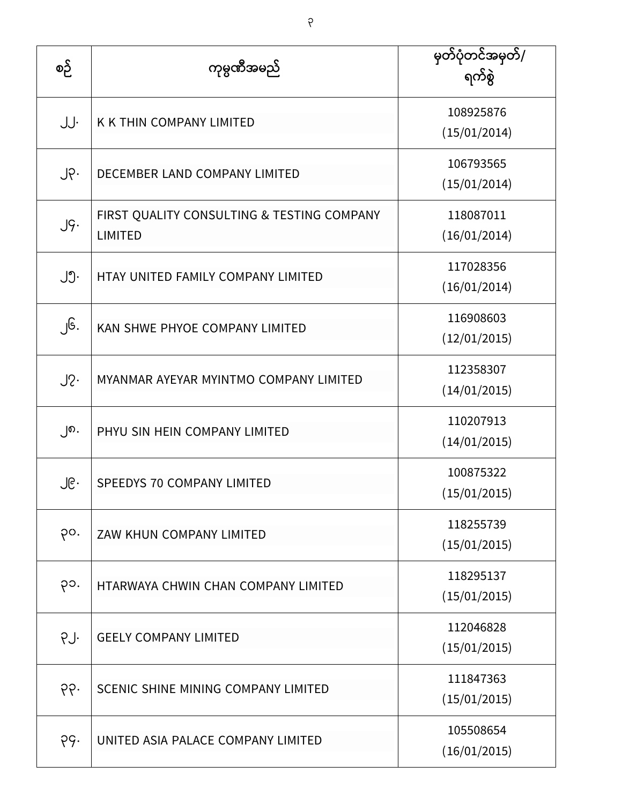| စဉ်             | ကုမ္ပဏီအမည်                                                  | မှတ်ပုံတင်အမှတ်/<br>ရက်စွဲ |
|-----------------|--------------------------------------------------------------|----------------------------|
| JJ.             | <b>K K THIN COMPANY LIMITED</b>                              | 108925876<br>(15/01/2014)  |
| $J \circ \cdot$ | DECEMBER LAND COMPANY LIMITED                                | 106793565<br>(15/01/2014)  |
| J9.             | FIRST QUALITY CONSULTING & TESTING COMPANY<br><b>LIMITED</b> | 118087011<br>(16/01/2014)  |
| ၂၅.             | HTAY UNITED FAMILY COMPANY LIMITED                           | 117028356<br>(16/01/2014)  |
| ၂၆.             | KAN SHWE PHYOE COMPANY LIMITED                               | 116908603<br>(12/01/2015)  |
| $J2$ .          | MYANMAR AYEYAR MYINTMO COMPANY LIMITED                       | 112358307<br>(14/01/2015)  |
| ၂၈.             | PHYU SIN HEIN COMPANY LIMITED                                | 110207913<br>(14/01/2015)  |
| ၂၉․             | SPEEDYS 70 COMPANY LIMITED                                   | 100875322<br>(15/01/2015)  |
| po.             | ZAW KHUN COMPANY LIMITED                                     | 118255739<br>(15/01/2015)  |
| ၃၁.             | HTARWAYA CHWIN CHAN COMPANY LIMITED                          | 118295137<br>(15/01/2015)  |
| PJ.             | <b>GEELY COMPANY LIMITED</b>                                 | 112046828<br>(15/01/2015)  |
| ၃၃.             | SCENIC SHINE MINING COMPANY LIMITED                          | 111847363<br>(15/01/2015)  |
| pg.             | UNITED ASIA PALACE COMPANY LIMITED                           | 105508654<br>(16/01/2015)  |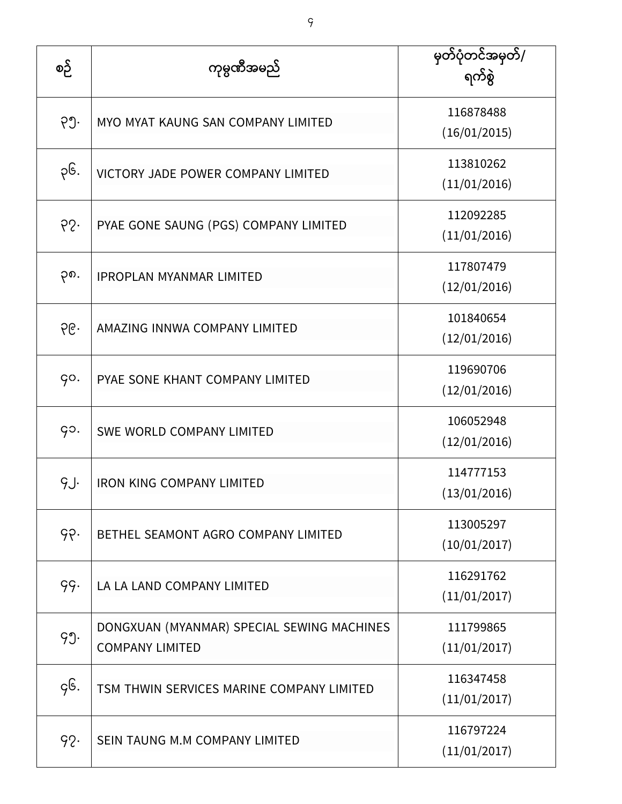| စဉ်  | ကုမ္ပဏီအမည်                                                          | မှတ်ပုံတင်အမှတ်/<br>ရက်စွဲ |
|------|----------------------------------------------------------------------|----------------------------|
| ၃၅.  | MYO MYAT KAUNG SAN COMPANY LIMITED                                   | 116878488<br>(16/01/2015)  |
| ၃၆.  | VICTORY JADE POWER COMPANY LIMITED                                   | 113810262<br>(11/01/2016)  |
| 65.  | PYAE GONE SAUNG (PGS) COMPANY LIMITED                                | 112092285<br>(11/01/2016)  |
| ၃၈.  | <b>IPROPLAN MYANMAR LIMITED</b>                                      | 117807479<br>(12/01/2016)  |
| ၃၉.  | AMAZING INNWA COMPANY LIMITED                                        | 101840654<br>(12/01/2016)  |
| go.  | PYAE SONE KHANT COMPANY LIMITED                                      | 119690706<br>(12/01/2016)  |
| go.  | <b>SWE WORLD COMPANY LIMITED</b>                                     | 106052948<br>(12/01/2016)  |
| g.j. | <b>IRON KING COMPANY LIMITED</b>                                     | 114777153<br>(13/01/2016)  |
| 99.  | BETHEL SEAMONT AGRO COMPANY LIMITED                                  | 113005297<br>(10/01/2017)  |
| 99.  | LA LA LAND COMPANY LIMITED                                           | 116291762<br>(11/01/2017)  |
| 99.  | DONGXUAN (MYANMAR) SPECIAL SEWING MACHINES<br><b>COMPANY LIMITED</b> | 111799865<br>(11/01/2017)  |
| ç၆.  | TSM THWIN SERVICES MARINE COMPANY LIMITED                            | 116347458<br>(11/01/2017)  |
| 92.  | SEIN TAUNG M.M COMPANY LIMITED                                       | 116797224<br>(11/01/2017)  |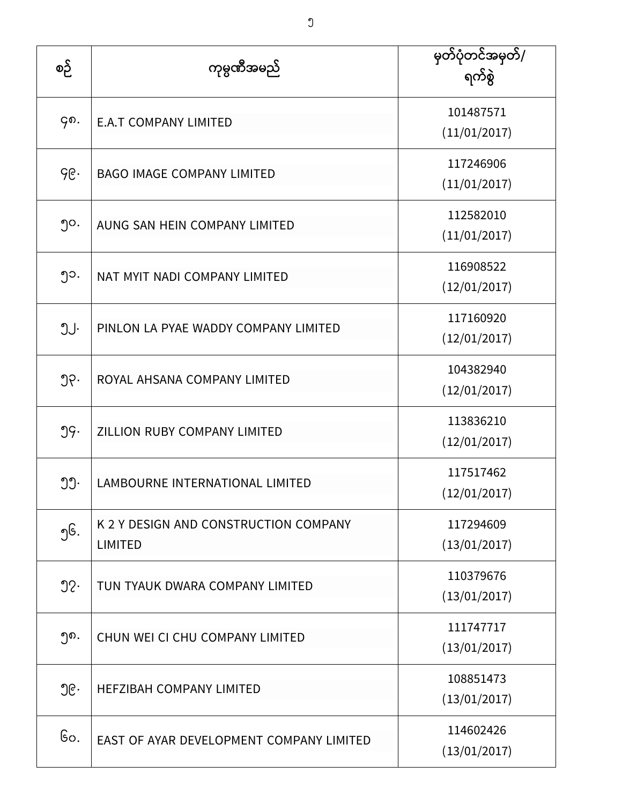| စဉ်              | ကုမ္ပဏီအမည်                                             | မှတ်ပုံတင်အမှတ်/<br>ရက်စွဲ |
|------------------|---------------------------------------------------------|----------------------------|
| ၄၈.              | <b>E.A.T COMPANY LIMITED</b>                            | 101487571<br>(11/01/2017)  |
| ၄၉.              | <b>BAGO IMAGE COMPANY LIMITED</b>                       | 117246906<br>(11/01/2017)  |
| ၅၀.              | AUNG SAN HEIN COMPANY LIMITED                           | 112582010<br>(11/01/2017)  |
| ၅၁.              | NAT MYIT NADI COMPANY LIMITED                           | 116908522<br>(12/01/2017)  |
| ၅၂.              | PINLON LA PYAE WADDY COMPANY LIMITED                    | 117160920<br>(12/01/2017)  |
| ၅၃.              | ROYAL AHSANA COMPANY LIMITED                            | 104382940<br>(12/01/2017)  |
| 99.              | ZILLION RUBY COMPANY LIMITED                            | 113836210<br>(12/01/2017)  |
| ၅၅.              | LAMBOURNE INTERNATIONAL LIMITED                         | 117517462<br>(12/01/2017)  |
| ၅၆.              | K 2 Y DESIGN AND CONSTRUCTION COMPANY<br><b>LIMITED</b> | 117294609<br>(13/01/2017)  |
| $\mathfrak{D}$ . | TUN TYAUK DWARA COMPANY LIMITED                         | 110379676<br>(13/01/2017)  |
| ၅၈.              | CHUN WEI CI CHU COMPANY LIMITED                         | 111747717<br>(13/01/2017)  |
| ၅၉.              | <b>HEFZIBAH COMPANY LIMITED</b>                         | 108851473<br>(13/01/2017)  |
| Go.              | EAST OF AYAR DEVELOPMENT COMPANY LIMITED                | 114602426<br>(13/01/2017)  |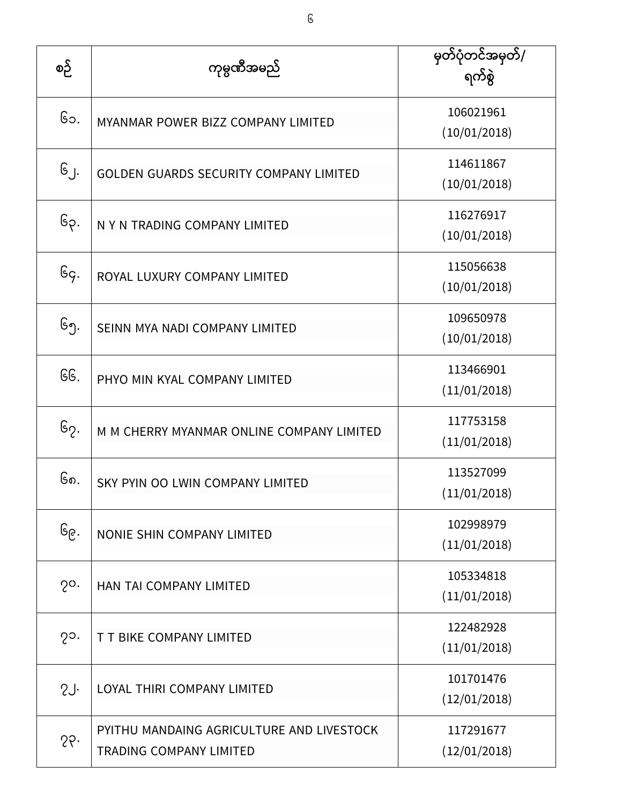| စဉ်             | ကုမ္ပဏီအမည်                                                                 | မှတ်ပုံတင်အမှတ်/<br>ရက်စွဲ |
|-----------------|-----------------------------------------------------------------------------|----------------------------|
| ၆၁.             | MYANMAR POWER BIZZ COMPANY LIMITED                                          | 106021961<br>(10/01/2018)  |
| $G_J.$          | GOLDEN GUARDS SECURITY COMPANY LIMITED                                      | 114611867<br>(10/01/2018)  |
| ၆၃.             | N Y N TRADING COMPANY LIMITED                                               | 116276917<br>(10/01/2018)  |
| Gg.             | ROYAL LUXURY COMPANY LIMITED                                                | 115056638<br>(10/01/2018)  |
| ၆၅.             | SEINN MYA NADI COMPANY LIMITED                                              | 109650978<br>(10/01/2018)  |
| GG.             | PHYO MIN KYAL COMPANY LIMITED                                               | 113466901<br>(11/01/2018)  |
| ၆၇.             | M M CHERRY MYANMAR ONLINE COMPANY LIMITED                                   | 117753158<br>(11/01/2018)  |
| ၆၈.             | SKY PYIN OO LWIN COMPANY LIMITED                                            | 113527099<br>(11/01/2018)  |
| ၆၉․             | NONIE SHIN COMPANY LIMITED                                                  | 102998979<br>(11/01/2018)  |
| $2^{\circ}$ .   | HAN TAI COMPANY LIMITED                                                     | 105334818<br>(11/01/2018)  |
| $2^{\circ}$ .   | T T BIKE COMPANY LIMITED                                                    | 122482928<br>(11/01/2018)  |
| 2J <sub>1</sub> | LOYAL THIRI COMPANY LIMITED                                                 | 101701476<br>(12/01/2018)  |
| 55              | PYITHU MANDAING AGRICULTURE AND LIVESTOCK<br><b>TRADING COMPANY LIMITED</b> | 117291677<br>(12/01/2018)  |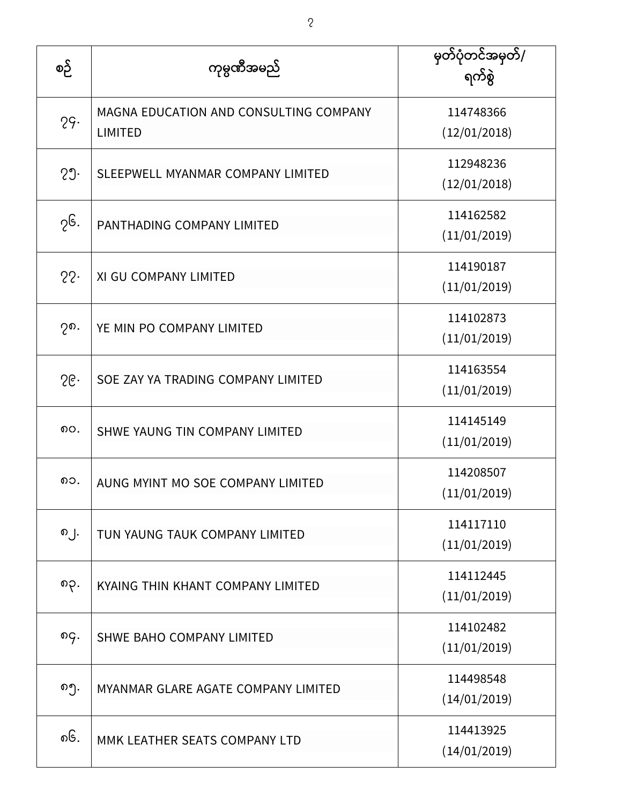| စဉ်    | ကုမ္ပဏီအမည်                                              | မှတ်ပုံတင်အမှတ်/<br>ရက်စွဲ |
|--------|----------------------------------------------------------|----------------------------|
| 29.    | MAGNA EDUCATION AND CONSULTING COMPANY<br><b>LIMITED</b> | 114748366<br>(12/01/2018)  |
| 29.    | SLEEPWELL MYANMAR COMPANY LIMITED                        | 112948236<br>(12/01/2018)  |
| ၇၆.    | PANTHADING COMPANY LIMITED                               | 114162582<br>(11/01/2019)  |
| 22.    | XI GU COMPANY LIMITED                                    | 114190187<br>(11/01/2019)  |
| ၇၈.    | YE MIN PO COMPANY LIMITED                                | 114102873<br>(11/01/2019)  |
| $56 -$ | SOE ZAY YA TRADING COMPANY LIMITED                       | 114163554<br>(11/01/2019)  |
| ၈၀.    | SHWE YAUNG TIN COMPANY LIMITED                           | 114145149<br>(11/01/2019)  |
| ၈၁.    | AUNG MYINT MO SOE COMPANY LIMITED                        | 114208507<br>(11/01/2019)  |
| ၈၂.    | TUN YAUNG TAUK COMPANY LIMITED                           | 114117110<br>(11/01/2019)  |
| ၈၃.    | KYAING THIN KHANT COMPANY LIMITED                        | 114112445<br>(11/01/2019)  |
| ၈၄.    | SHWE BAHO COMPANY LIMITED                                | 114102482<br>(11/01/2019)  |
| ၈၅.    | MYANMAR GLARE AGATE COMPANY LIMITED                      | 114498548<br>(14/01/2019)  |
| ၈၆.    | MMK LEATHER SEATS COMPANY LTD                            | 114413925<br>(14/01/2019)  |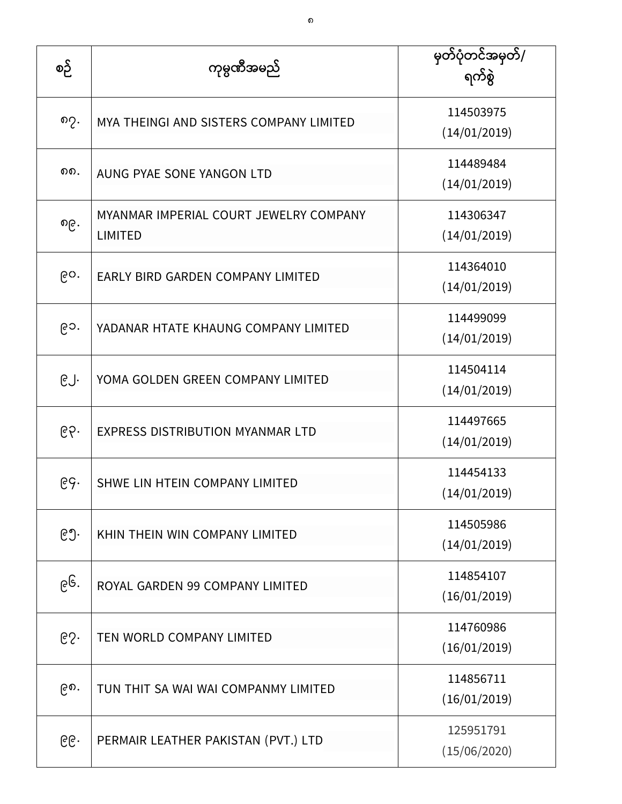| စဉ် | ကုမ္ပဏီအမည်                                              | မှတ်ပုံတင်အမှတ်/<br>ရက်စွဲ |
|-----|----------------------------------------------------------|----------------------------|
| ၈၇. | MYA THEINGI AND SISTERS COMPANY LIMITED                  | 114503975<br>(14/01/2019)  |
| ດດ. | AUNG PYAE SONE YANGON LTD                                | 114489484<br>(14/01/2019)  |
| ၈၉. | MYANMAR IMPERIAL COURT JEWELRY COMPANY<br><b>LIMITED</b> | 114306347<br>(14/01/2019)  |
| ၉၀. | EARLY BIRD GARDEN COMPANY LIMITED                        | 114364010<br>(14/01/2019)  |
| ၉၁. | YADANAR HTATE KHAUNG COMPANY LIMITED                     | 114499099<br>(14/01/2019)  |
| ၉၂. | YOMA GOLDEN GREEN COMPANY LIMITED                        | 114504114<br>(14/01/2019)  |
| ၉၃. | <b>EXPRESS DISTRIBUTION MYANMAR LTD</b>                  | 114497665<br>(14/01/2019)  |
| ၉၄. | SHWE LIN HTEIN COMPANY LIMITED                           | 114454133<br>(14/01/2019)  |
| ၉၅. | KHIN THEIN WIN COMPANY LIMITED                           | 114505986<br>(14/01/2019)  |
| ၉၆. | ROYAL GARDEN 99 COMPANY LIMITED                          | 114854107<br>(16/01/2019)  |
| 65. | TEN WORLD COMPANY LIMITED                                | 114760986<br>(16/01/2019)  |
| ၉၈. | TUN THIT SA WAI WAI COMPANMY LIMITED                     | 114856711<br>(16/01/2019)  |
| ၉၉. | PERMAIR LEATHER PAKISTAN (PVT.) LTD                      | 125951791<br>(15/06/2020)  |